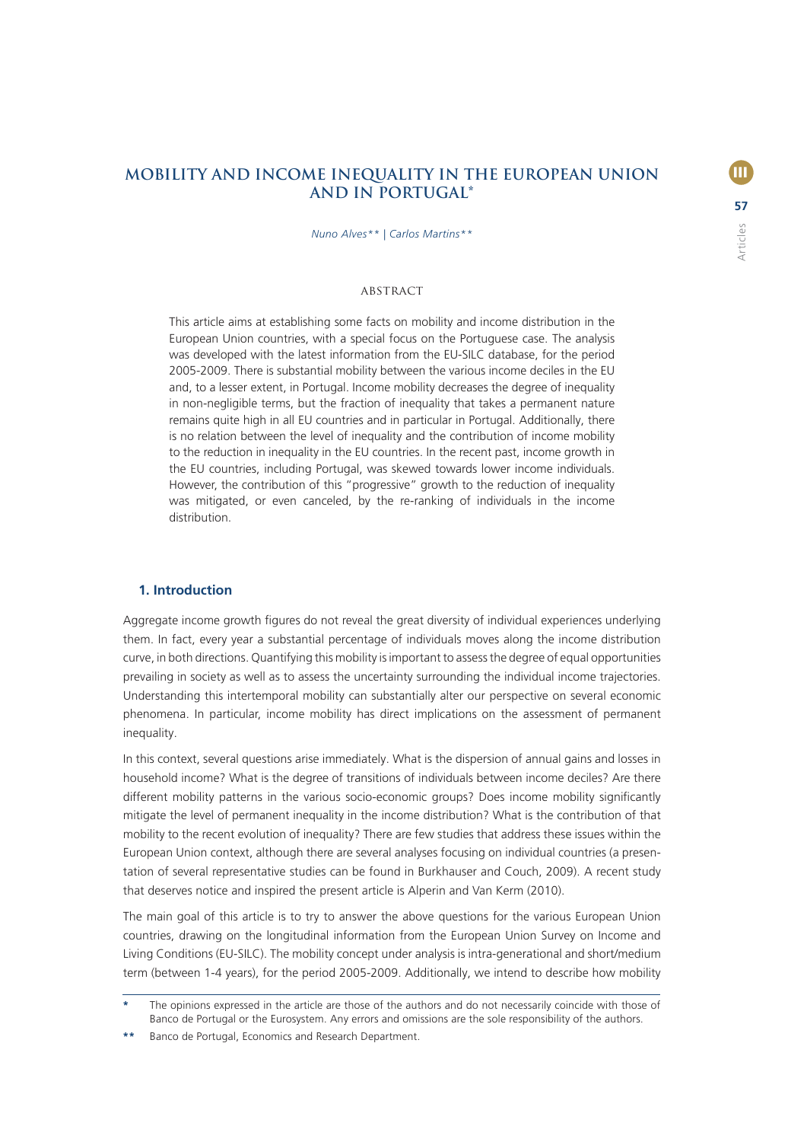# **MOBILITY AND INCOME INEQUALITY IN THE EUROPEAN UNION AND IN PORTUGAL\***

*Nuno Alves\*\* | Carlos Martins\*\**

### Abstract

This article aims at establishing some facts on mobility and income distribution in the European Union countries, with a special focus on the Portuguese case. The analysis was developed with the latest information from the EU-SILC database, for the period 2005-2009. There is substantial mobility between the various income deciles in the EU and, to a lesser extent, in Portugal. Income mobility decreases the degree of inequality in non-negligible terms, but the fraction of inequality that takes a permanent nature remains quite high in all EU countries and in particular in Portugal. Additionally, there is no relation between the level of inequality and the contribution of income mobility to the reduction in inequality in the EU countries. In the recent past, income growth in the EU countries, including Portugal, was skewed towards lower income individuals. However, the contribution of this "progressive" growth to the reduction of inequality was mitigated, or even canceled, by the re-ranking of individuals in the income distribution.

#### **1. Introduction**

Aggregate income growth figures do not reveal the great diversity of individual experiences underlying them. In fact, every year a substantial percentage of individuals moves along the income distribution curve, in both directions. Quantifying this mobility is important to assess the degree of equal opportunities prevailing in society as well as to assess the uncertainty surrounding the individual income trajectories. Understanding this intertemporal mobility can substantially alter our perspective on several economic phenomena. In particular, income mobility has direct implications on the assessment of permanent inequality.

In this context, several questions arise immediately. What is the dispersion of annual gains and losses in household income? What is the degree of transitions of individuals between income deciles? Are there different mobility patterns in the various socio-economic groups? Does income mobility significantly mitigate the level of permanent inequality in the income distribution? What is the contribution of that mobility to the recent evolution of inequality? There are few studies that address these issues within the European Union context, although there are several analyses focusing on individual countries (a presentation of several representative studies can be found in Burkhauser and Couch, 2009). A recent study that deserves notice and inspired the present article is Alperin and Van Kerm (2010).

The main goal of this article is to try to answer the above questions for the various European Union countries, drawing on the longitudinal information from the European Union Survey on Income and Living Conditions (EU-SILC). The mobility concept under analysis is intra-generational and short/medium term (between 1-4 years), for the period 2005-2009. Additionally, we intend to describe how mobility

**<sup>\*</sup>** The opinions expressed in the article are those of the authors and do not necessarily coincide with those of Banco de Portugal or the Eurosystem. Any errors and omissions are the sole responsibility of the authors.

**<sup>\*\*</sup>** Banco de Portugal, Economics and Research Department.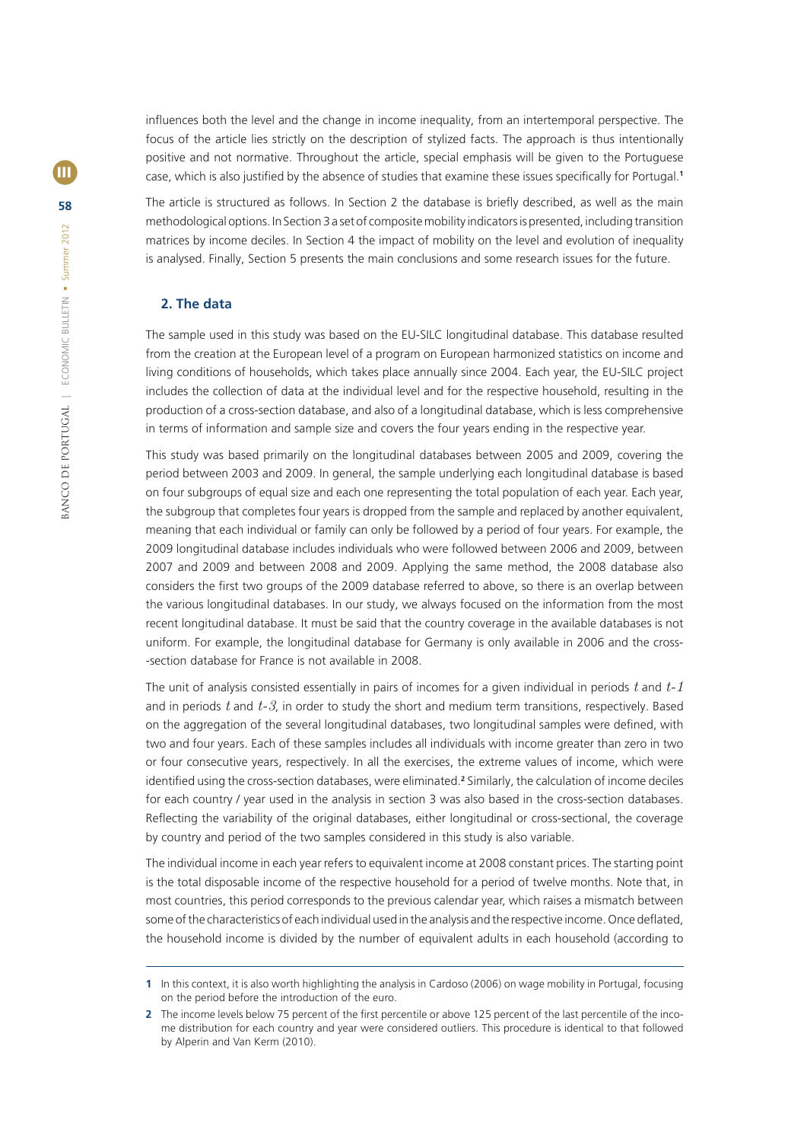influences both the level and the change in income inequality, from an intertemporal perspective. The focus of the article lies strictly on the description of stylized facts. The approach is thus intentionally positive and not normative. Throughout the article, special emphasis will be given to the Portuguese case, which is also justified by the absence of studies that examine these issues specifically for Portugal.<sup>1</sup>

The article is structured as follows. In Section 2 the database is briefly described, as well as the main methodological options. In Section 3 a set of composite mobility indicators is presented, including transition matrices by income deciles. In Section 4 the impact of mobility on the level and evolution of inequality is analysed. Finally, Section 5 presents the main conclusions and some research issues for the future.

## **2. The data**

The sample used in this study was based on the EU-SILC longitudinal database. This database resulted from the creation at the European level of a program on European harmonized statistics on income and living conditions of households, which takes place annually since 2004. Each year, the EU-SILC project includes the collection of data at the individual level and for the respective household, resulting in the production of a cross-section database, and also of a longitudinal database, which is less comprehensive in terms of information and sample size and covers the four years ending in the respective year.

This study was based primarily on the longitudinal databases between 2005 and 2009, covering the period between 2003 and 2009. In general, the sample underlying each longitudinal database is based on four subgroups of equal size and each one representing the total population of each year. Each year, the subgroup that completes four years is dropped from the sample and replaced by another equivalent, meaning that each individual or family can only be followed by a period of four years. For example, the 2009 longitudinal database includes individuals who were followed between 2006 and 2009, between 2007 and 2009 and between 2008 and 2009. Applying the same method, the 2008 database also considers the first two groups of the 2009 database referred to above, so there is an overlap between the various longitudinal databases. In our study, we always focused on the information from the most recent longitudinal database. It must be said that the country coverage in the available databases is not uniform. For example, the longitudinal database for Germany is only available in 2006 and the cross- -section database for France is not available in 2008.

The unit of analysis consisted essentially in pairs of incomes for a given individual in periods *t* and *t-1*  and in periods *t* and *t-3*, in order to study the short and medium term transitions, respectively. Based on the aggregation of the several longitudinal databases, two longitudinal samples were defined, with two and four years. Each of these samples includes all individuals with income greater than zero in two or four consecutive years, respectively. In all the exercises, the extreme values of income, which were identified using the cross-section databases, were eliminated.<sup>2</sup> Similarly, the calculation of income deciles for each country / year used in the analysis in section 3 was also based in the cross-section databases. Reflecting the variability of the original databases, either longitudinal or cross-sectional, the coverage by country and period of the two samples considered in this study is also variable.

The individual income in each year refers to equivalent income at 2008 constant prices. The starting point is the total disposable income of the respective household for a period of twelve months. Note that, in most countries, this period corresponds to the previous calendar year, which raises a mismatch between some of the characteristics of each individual used in the analysis and the respective income. Once deflated, the household income is divided by the number of equivalent adults in each household (according to

**<sup>1</sup>** In this context, it is also worth highlighting the analysis in Cardoso (2006) on wage mobility in Portugal, focusing on the period before the introduction of the euro.

**<sup>2</sup>** The income levels below 75 percent of the first percentile or above 125 percent of the last percentile of the income distribution for each country and year were considered outliers. This procedure is identical to that followed by Alperin and Van Kerm (2010).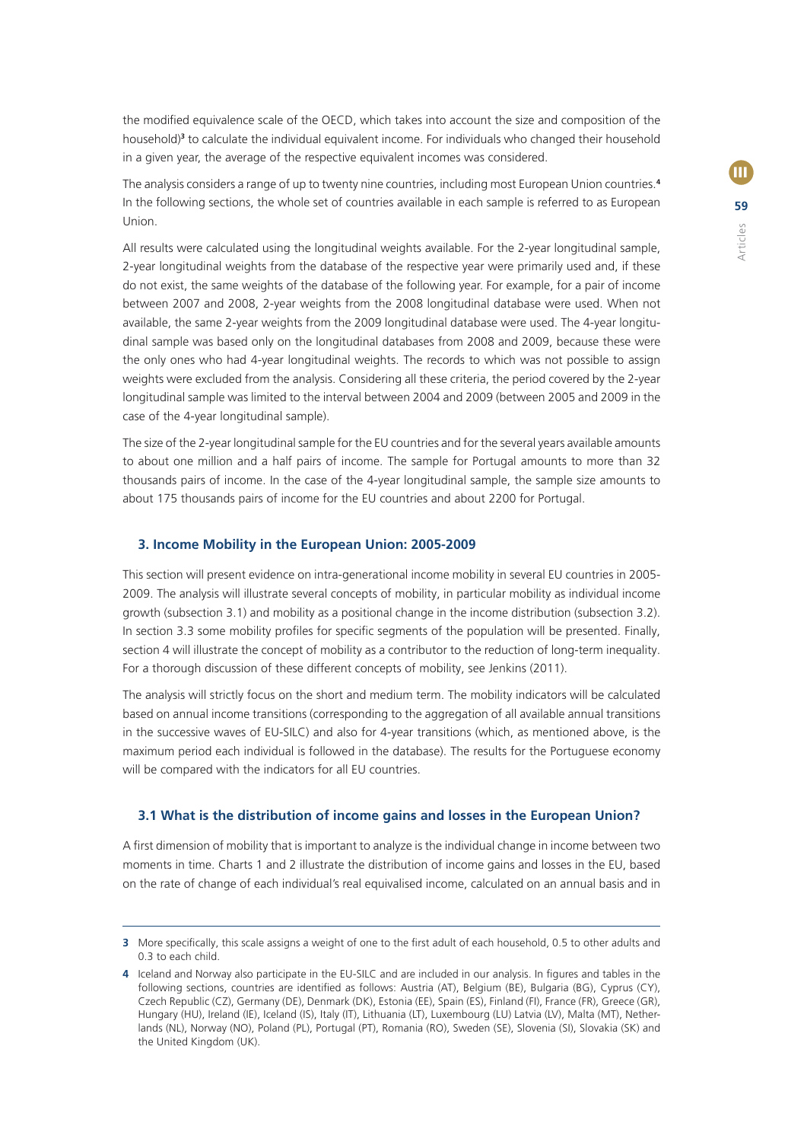**59**  $\blacksquare$ Articles

the modified equivalence scale of the OECD, which takes into account the size and composition of the household)**<sup>3</sup>** to calculate the individual equivalent income. For individuals who changed their household in a given year, the average of the respective equivalent incomes was considered.

The analysis considers a range of up to twenty nine countries, including most European Union countries.**<sup>4</sup>** In the following sections, the whole set of countries available in each sample is referred to as European Union.

All results were calculated using the longitudinal weights available. For the 2-year longitudinal sample, 2-year longitudinal weights from the database of the respective year were primarily used and, if these do not exist, the same weights of the database of the following year. For example, for a pair of income between 2007 and 2008, 2-year weights from the 2008 longitudinal database were used. When not available, the same 2-year weights from the 2009 longitudinal database were used. The 4-year longitudinal sample was based only on the longitudinal databases from 2008 and 2009, because these were the only ones who had 4-year longitudinal weights. The records to which was not possible to assign weights were excluded from the analysis. Considering all these criteria, the period covered by the 2-year longitudinal sample was limited to the interval between 2004 and 2009 (between 2005 and 2009 in the case of the 4-year longitudinal sample).

The size of the 2-year longitudinal sample for the EU countries and for the several years available amounts to about one million and a half pairs of income. The sample for Portugal amounts to more than 32 thousands pairs of income. In the case of the 4-year longitudinal sample, the sample size amounts to about 175 thousands pairs of income for the EU countries and about 2200 for Portugal.

#### **3. Income Mobility in the European Union: 2005-2009**

This section will present evidence on intra-generational income mobility in several EU countries in 2005- 2009. The analysis will illustrate several concepts of mobility, in particular mobility as individual income growth (subsection 3.1) and mobility as a positional change in the income distribution (subsection 3.2). In section 3.3 some mobility profiles for specific segments of the population will be presented. Finally, section 4 will illustrate the concept of mobility as a contributor to the reduction of long-term inequality. For a thorough discussion of these different concepts of mobility, see Jenkins (2011).

The analysis will strictly focus on the short and medium term. The mobility indicators will be calculated based on annual income transitions (corresponding to the aggregation of all available annual transitions in the successive waves of EU-SILC) and also for 4-year transitions (which, as mentioned above, is the maximum period each individual is followed in the database). The results for the Portuguese economy will be compared with the indicators for all EU countries.

#### **3.1 What is the distribution of income gains and losses in the European Union?**

A first dimension of mobility that is important to analyze is the individual change in income between two moments in time. Charts 1 and 2 illustrate the distribution of income gains and losses in the EU, based on the rate of change of each individual's real equivalised income, calculated on an annual basis and in

**<sup>3</sup>** More specifically, this scale assigns a weight of one to the first adult of each household, 0.5 to other adults and 0.3 to each child.

**<sup>4</sup>** Iceland and Norway also participate in the EU-SILC and are included in our analysis. In figures and tables in the following sections, countries are identified as follows: Austria (AT), Belgium (BE), Bulgaria (BG), Cyprus (CY), Czech Republic (CZ), Germany (DE), Denmark (DK), Estonia (EE), Spain (ES), Finland (FI), France (FR), Greece (GR), Hungary (HU), Ireland (IE), Iceland (IS), Italy (IT), Lithuania (LT), Luxembourg (LU) Latvia (LV), Malta (MT), Netherlands (NL), Norway (NO), Poland (PL), Portugal (PT), Romania (RO), Sweden (SE), Slovenia (SI), Slovakia (SK) and the United Kingdom (UK).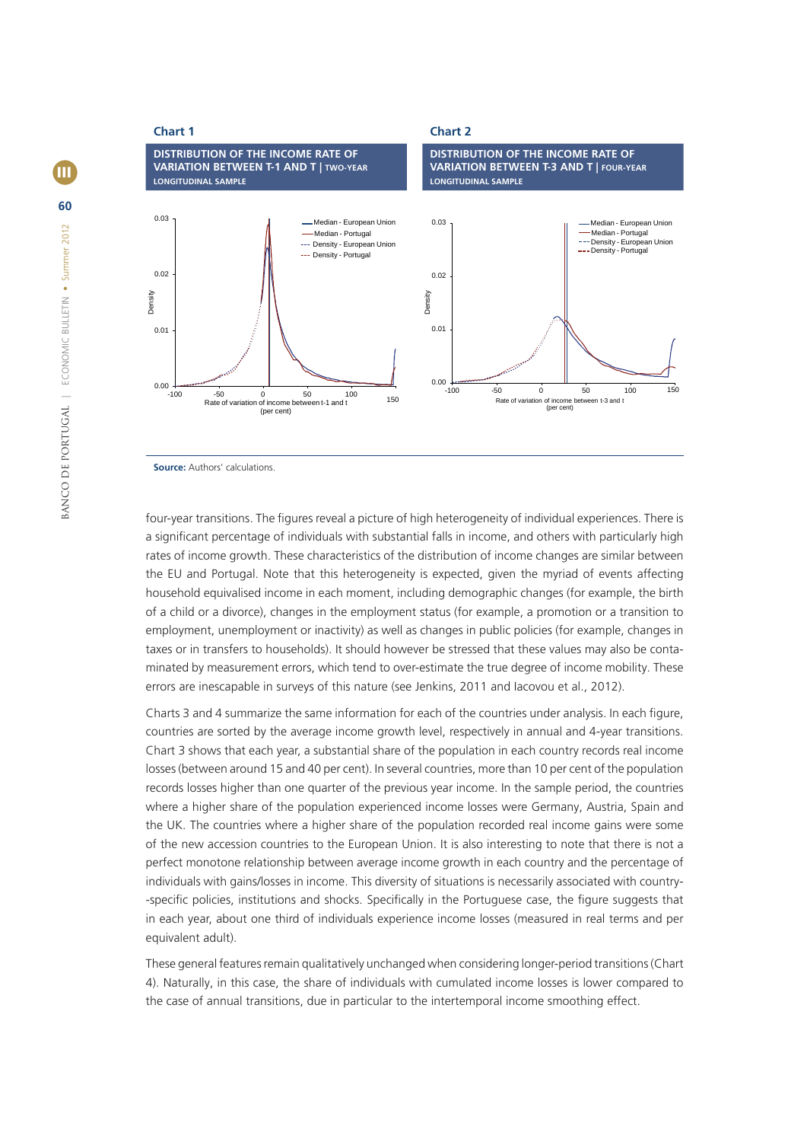



**Source:** Authors' calculations.

four-year transitions. The figures reveal a picture of high heterogeneity of individual experiences. There is a significant percentage of individuals with substantial falls in income, and others with particularly high rates of income growth. These characteristics of the distribution of income changes are similar between the EU and Portugal. Note that this heterogeneity is expected, given the myriad of events affecting household equivalised income in each moment, including demographic changes (for example, the birth of a child or a divorce), changes in the employment status (for example, a promotion or a transition to employment, unemployment or inactivity) as well as changes in public policies (for example, changes in taxes or in transfers to households). It should however be stressed that these values may also be contaminated by measurement errors, which tend to over-estimate the true degree of income mobility. These errors are inescapable in surveys of this nature (see Jenkins, 2011 and Iacovou et al., 2012).

Charts 3 and 4 summarize the same information for each of the countries under analysis. In each figure, countries are sorted by the average income growth level, respectively in annual and 4-year transitions. Chart 3 shows that each year, a substantial share of the population in each country records real income losses (between around 15 and 40 per cent). In several countries, more than 10 per cent of the population records losses higher than one quarter of the previous year income. In the sample period, the countries where a higher share of the population experienced income losses were Germany, Austria, Spain and the UK. The countries where a higher share of the population recorded real income gains were some of the new accession countries to the European Union. It is also interesting to note that there is not a perfect monotone relationship between average income growth in each country and the percentage of individuals with gains/losses in income. This diversity of situations is necessarily associated with country- -specific policies, institutions and shocks. Specifically in the Portuguese case, the figure suggests that in each year, about one third of individuals experience income losses (measured in real terms and per equivalent adult).

These general features remain qualitatively unchanged when considering longer-period transitions (Chart 4). Naturally, in this case, the share of individuals with cumulated income losses is lower compared to the case of annual transitions, due in particular to the intertemporal income smoothing effect.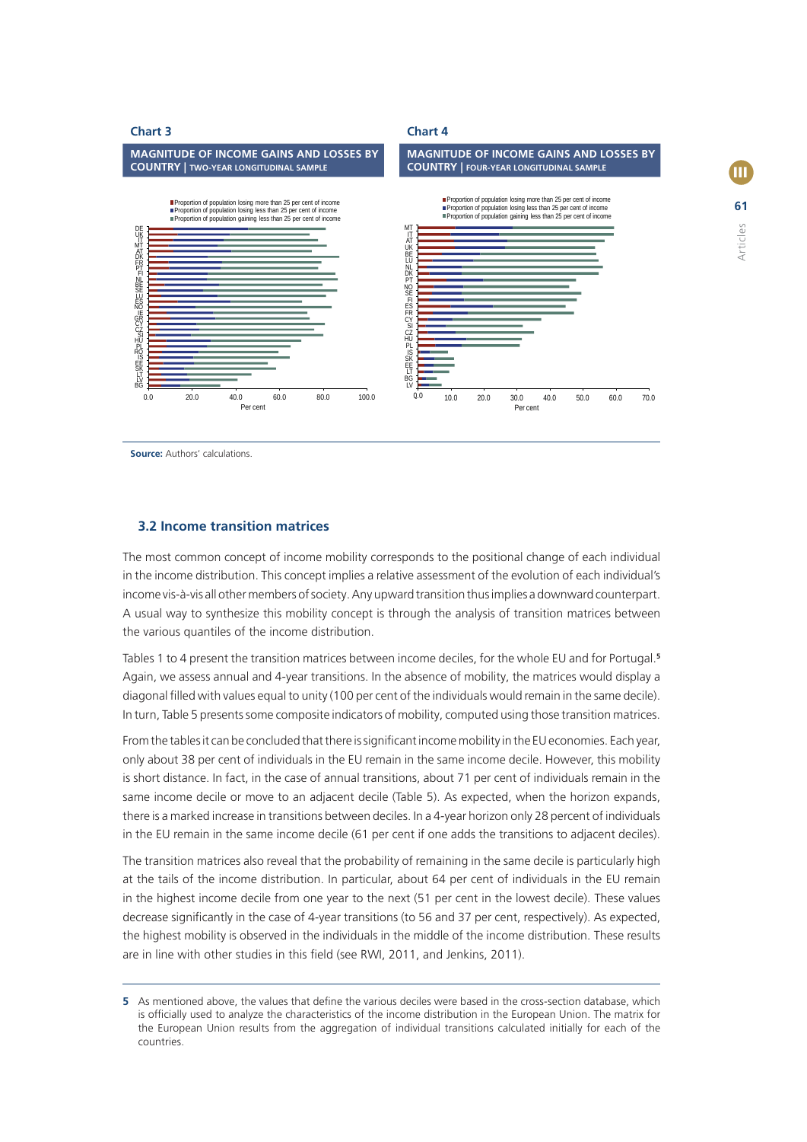

**61**

Articles

**III** 

**Source:** Authors' calculations

## **3.2 Income transition matrices**

The most common concept of income mobility corresponds to the positional change of each individual in the income distribution. This concept implies a relative assessment of the evolution of each individual's income vis-à-vis all other members of society. Any upward transition thus implies a downward counterpart. A usual way to synthesize this mobility concept is through the analysis of transition matrices between the various quantiles of the income distribution.

Tables 1 to 4 present the transition matrices between income deciles, for the whole EU and for Portugal.**<sup>5</sup>** Again, we assess annual and 4-year transitions. In the absence of mobility, the matrices would display a diagonal fi lled with values equal to unity (100 per cent of the individuals would remain in the same decile). In turn, Table 5 presents some composite indicators of mobility, computed using those transition matrices.

From the tables it can be concluded that there is significant income mobility in the EU economies. Each year, only about 38 per cent of individuals in the EU remain in the same income decile. However, this mobility is short distance. In fact, in the case of annual transitions, about 71 per cent of individuals remain in the same income decile or move to an adjacent decile (Table 5). As expected, when the horizon expands, there is a marked increase in transitions between deciles. In a 4-year horizon only 28 percent of individuals in the EU remain in the same income decile (61 per cent if one adds the transitions to adjacent deciles).

The transition matrices also reveal that the probability of remaining in the same decile is particularly high at the tails of the income distribution. In particular, about 64 per cent of individuals in the EU remain in the highest income decile from one year to the next (51 per cent in the lowest decile). These values decrease significantly in the case of 4-year transitions (to 56 and 37 per cent, respectively). As expected, the highest mobility is observed in the individuals in the middle of the income distribution. These results are in line with other studies in this field (see RWI, 2011, and Jenkins, 2011).

**<sup>5</sup>** As mentioned above, the values that define the various deciles were based in the cross-section database, which is officially used to analyze the characteristics of the income distribution in the European Union. The matrix for the European Union results from the aggregation of individual transitions calculated initially for each of the countries.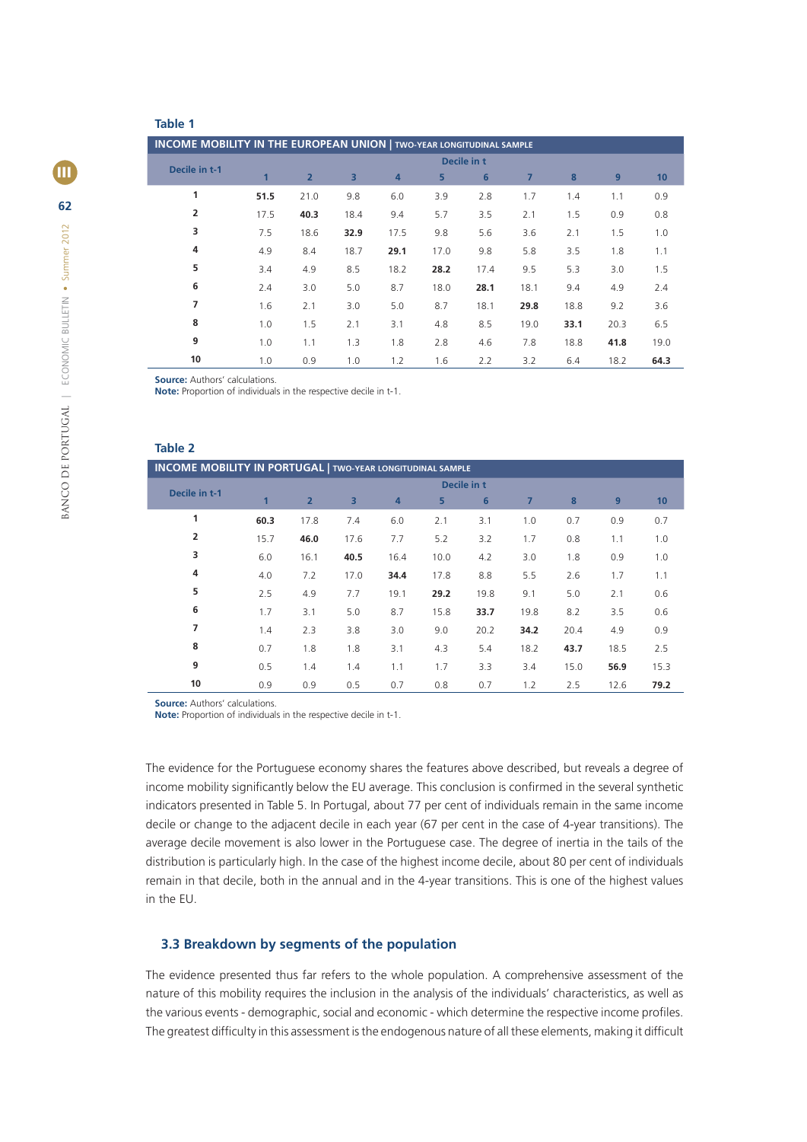## **Table 1**

| <b>INCOME MOBILITY IN THE EUROPEAN UNION   TWO-YEAR LONGITUDINAL SAMPLE</b> |             |                |                         |      |      |                |                |      |      |      |  |
|-----------------------------------------------------------------------------|-------------|----------------|-------------------------|------|------|----------------|----------------|------|------|------|--|
| Decile in t-1                                                               | Decile in t |                |                         |      |      |                |                |      |      |      |  |
|                                                                             | 1           | $\overline{2}$ | $\overline{\mathbf{3}}$ | 4    | 5    | $6\phantom{1}$ | $\overline{7}$ | 8    | 9    | 10   |  |
| 1                                                                           | 51.5        | 21.0           | 9.8                     | 6.0  | 3.9  | 2.8            | 1.7            | 1.4  | 1.1  | 0.9  |  |
| $\overline{2}$                                                              | 17.5        | 40.3           | 18.4                    | 9.4  | 5.7  | 3.5            | 2.1            | 1.5  | 0.9  | 0.8  |  |
| 3                                                                           | 7.5         | 18.6           | 32.9                    | 17.5 | 9.8  | 5.6            | 3.6            | 2.1  | 1.5  | 1.0  |  |
| 4                                                                           | 4.9         | 8.4            | 18.7                    | 29.1 | 17.0 | 9.8            | 5.8            | 3.5  | 1.8  | 1.1  |  |
| 5                                                                           | 3.4         | 4.9            | 8.5                     | 18.2 | 28.2 | 17.4           | 9.5            | 5.3  | 3.0  | 1.5  |  |
| 6                                                                           | 2.4         | 3.0            | 5.0                     | 8.7  | 18.0 | 28.1           | 18.1           | 9.4  | 4.9  | 2.4  |  |
| 7                                                                           | 1.6         | 2.1            | 3.0                     | 5.0  | 8.7  | 18.1           | 29.8           | 18.8 | 9.2  | 3.6  |  |
| 8                                                                           | 1.0         | 1.5            | 2.1                     | 3.1  | 4.8  | 8.5            | 19.0           | 33.1 | 20.3 | 6.5  |  |
| 9                                                                           | 1.0         | 1.1            | 1.3                     | 1.8  | 2.8  | 4.6            | 7.8            | 18.8 | 41.8 | 19.0 |  |
| 10                                                                          | 1.0         | 0.9            | 1.0                     | 1.2  | 1.6  | 2.2            | 3.2            | 6.4  | 18.2 | 64.3 |  |

**Source:** Authors' calculations.

**Note:** Proportion of individuals in the respective decile in t-1.

## **Table 2**

| <b>INCOME MOBILITY IN PORTUGAL   TWO-YEAR LONGITUDINAL SAMPLE</b> |              |                |                         |      |      |      |                |      |      |      |  |  |
|-------------------------------------------------------------------|--------------|----------------|-------------------------|------|------|------|----------------|------|------|------|--|--|
|                                                                   | Decile in t  |                |                         |      |      |      |                |      |      |      |  |  |
| Decile in t-1                                                     | $\mathbf{1}$ | $\overline{2}$ | $\overline{\mathbf{3}}$ | 4    | 5    | 6    | $\overline{7}$ | 8    | 9    | 10   |  |  |
| 1                                                                 | 60.3         | 17.8           | 7.4                     | 6.0  | 2.1  | 3.1  | 1.0            | 0.7  | 0.9  | 0.7  |  |  |
| $\overline{2}$                                                    | 15.7         | 46.0           | 17.6                    | 7.7  | 5.2  | 3.2  | 1.7            | 0.8  | 1.1  | 1.0  |  |  |
| 3                                                                 | 6.0          | 16.1           | 40.5                    | 16.4 | 10.0 | 4.2  | 3.0            | 1.8  | 0.9  | 1.0  |  |  |
| 4                                                                 | 4.0          | 7.2            | 17.0                    | 34.4 | 17.8 | 8.8  | 5.5            | 2.6  | 1.7  | 1.1  |  |  |
| 5                                                                 | 2.5          | 4.9            | 7.7                     | 19.1 | 29.2 | 19.8 | 9.1            | 5.0  | 2.1  | 0.6  |  |  |
| 6                                                                 | 1.7          | 3.1            | 5.0                     | 8.7  | 15.8 | 33.7 | 19.8           | 8.2  | 3.5  | 0.6  |  |  |
| 7                                                                 | 1.4          | 2.3            | 3.8                     | 3.0  | 9.0  | 20.2 | 34.2           | 20.4 | 4.9  | 0.9  |  |  |
| 8                                                                 | 0.7          | 1.8            | 1.8                     | 3.1  | 4.3  | 5.4  | 18.2           | 43.7 | 18.5 | 2.5  |  |  |
| 9                                                                 | 0.5          | 1.4            | 1.4                     | 1.1  | 1.7  | 3.3  | 3.4            | 15.0 | 56.9 | 15.3 |  |  |
| 10                                                                | 0.9          | 0.9            | 0.5                     | 0.7  | 0.8  | 0.7  | 1.2            | 2.5  | 12.6 | 79.2 |  |  |

**Source:** Authors' calculations.

**Note:** Proportion of individuals in the respective decile in t-1.

The evidence for the Portuguese economy shares the features above described, but reveals a degree of income mobility significantly below the EU average. This conclusion is confirmed in the several synthetic indicators presented in Table 5. In Portugal, about 77 per cent of individuals remain in the same income decile or change to the adjacent decile in each year (67 per cent in the case of 4-year transitions). The average decile movement is also lower in the Portuguese case. The degree of inertia in the tails of the distribution is particularly high. In the case of the highest income decile, about 80 per cent of individuals remain in that decile, both in the annual and in the 4-year transitions. This is one of the highest values in the EU.

### **3.3 Breakdown by segments of the population**

The evidence presented thus far refers to the whole population. A comprehensive assessment of the nature of this mobility requires the inclusion in the analysis of the individuals' characteristics, as well as the various events - demographic, social and economic - which determine the respective income profiles. The greatest difficulty in this assessment is the endogenous nature of all these elements, making it difficult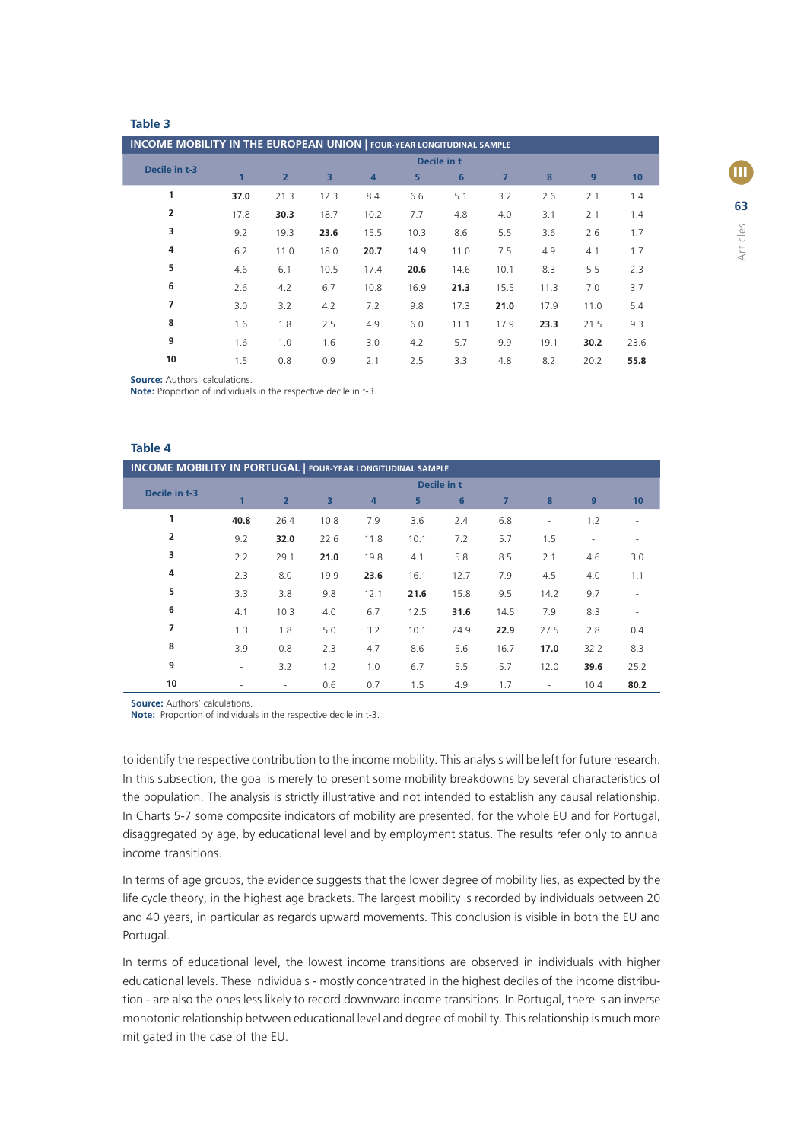#### **Table 3**

| <b>INCOME MOBILITY IN THE EUROPEAN UNION   FOUR-YEAR LONGITUDINAL SAMPLE</b> |              |                |      |      |      |      |                |      |      |      |  |
|------------------------------------------------------------------------------|--------------|----------------|------|------|------|------|----------------|------|------|------|--|
| Decile in t-3                                                                | Decile in t  |                |      |      |      |      |                |      |      |      |  |
|                                                                              | $\mathbf{1}$ | $\overline{2}$ | 3    | 4    | 5    | 6    | $\overline{7}$ | 8    | 9    | 10   |  |
| 1                                                                            | 37.0         | 21.3           | 12.3 | 8.4  | 6.6  | 5.1  | 3.2            | 2.6  | 2.1  | 1.4  |  |
| 2                                                                            | 17.8         | 30.3           | 18.7 | 10.2 | 7.7  | 4.8  | 4.0            | 3.1  | 2.1  | 1.4  |  |
| 3                                                                            | 9.2          | 19.3           | 23.6 | 15.5 | 10.3 | 8.6  | 5.5            | 3.6  | 2.6  | 1.7  |  |
| 4                                                                            | 6.2          | 11.0           | 18.0 | 20.7 | 14.9 | 11.0 | 7.5            | 4.9  | 4.1  | 1.7  |  |
| 5                                                                            | 4.6          | 6.1            | 10.5 | 17.4 | 20.6 | 14.6 | 10.1           | 8.3  | 5.5  | 2.3  |  |
| 6                                                                            | 2.6          | 4.2            | 6.7  | 10.8 | 16.9 | 21.3 | 15.5           | 11.3 | 7.0  | 3.7  |  |
| 7                                                                            | 3.0          | 3.2            | 4.2  | 7.2  | 9.8  | 17.3 | 21.0           | 17.9 | 11.0 | 5.4  |  |
| 8                                                                            | 1.6          | 1.8            | 2.5  | 4.9  | 6.0  | 11.1 | 17.9           | 23.3 | 21.5 | 9.3  |  |
| 9                                                                            | 1.6          | 1.0            | 1.6  | 3.0  | 4.2  | 5.7  | 9.9            | 19.1 | 30.2 | 23.6 |  |
| 10                                                                           | 1.5          | 0.8            | 0.9  | 2.1  | 2.5  | 3.3  | 4.8            | 8.2  | 20.2 | 55.8 |  |

**Source:** Authors' calculations.

**Note:** Proportion of individuals in the respective decile in t-3.

## **Table 4**

| <b>INCOME MOBILITY IN PORTUGAL   FOUR-YEAR LONGITUDINAL SAMPLE</b> |                          |                |                |      |      |                |                |                          |                          |                          |  |
|--------------------------------------------------------------------|--------------------------|----------------|----------------|------|------|----------------|----------------|--------------------------|--------------------------|--------------------------|--|
| Decile in t-3                                                      | Decile in t              |                |                |      |      |                |                |                          |                          |                          |  |
|                                                                    | $\mathbf{1}$             | $\overline{2}$ | $\overline{3}$ | 4    | 5    | $6\phantom{1}$ | $\overline{7}$ | 8                        | 9                        | 10 <sup>1</sup>          |  |
| 1                                                                  | 40.8                     | 26.4           | 10.8           | 7.9  | 3.6  | 2.4            | 6.8            | $\overline{\phantom{a}}$ | 1.2                      |                          |  |
| $\overline{2}$                                                     | 9.2                      | 32.0           | 22.6           | 11.8 | 10.1 | 7.2            | 5.7            | 1.5                      | $\overline{\phantom{a}}$ |                          |  |
| 3                                                                  | 2.2                      | 29.1           | 21.0           | 19.8 | 4.1  | 5.8            | 8.5            | 2.1                      | 4.6                      | 3.0                      |  |
| 4                                                                  | 2.3                      | 8.0            | 19.9           | 23.6 | 16.1 | 12.7           | 7.9            | 4.5                      | 4.0                      | 1.1                      |  |
| 5                                                                  | 3.3                      | 3.8            | 9.8            | 12.1 | 21.6 | 15.8           | 9.5            | 14.2                     | 9.7                      | $\overline{\phantom{a}}$ |  |
| 6                                                                  | 4.1                      | 10.3           | 4.0            | 6.7  | 12.5 | 31.6           | 14.5           | 7.9                      | 8.3                      | $\overline{\phantom{a}}$ |  |
| 7                                                                  | 1.3                      | 1.8            | 5.0            | 3.2  | 10.1 | 24.9           | 22.9           | 27.5                     | 2.8                      | 0.4                      |  |
| 8                                                                  | 3.9                      | 0.8            | 2.3            | 4.7  | 8.6  | 5.6            | 16.7           | 17.0                     | 32.2                     | 8.3                      |  |
| 9                                                                  | $\overline{\phantom{a}}$ | 3.2            | 1.2            | 1.0  | 6.7  | 5.5            | 5.7            | 12.0                     | 39.6                     | 25.2                     |  |
| 10                                                                 | $\blacksquare$           | ٠              | 0.6            | 0.7  | 1.5  | 4.9            | 1.7            | $\overline{\phantom{a}}$ | 10.4                     | 80.2                     |  |

**Source:** Authors' calculations.

**Note:** Proportion of individuals in the respective decile in t-3.

to identify the respective contribution to the income mobility. This analysis will be left for future research. In this subsection, the goal is merely to present some mobility breakdowns by several characteristics of the population. The analysis is strictly illustrative and not intended to establish any causal relationship. In Charts 5-7 some composite indicators of mobility are presented, for the whole EU and for Portugal, disaggregated by age, by educational level and by employment status. The results refer only to annual income transitions.

In terms of age groups, the evidence suggests that the lower degree of mobility lies, as expected by the life cycle theory, in the highest age brackets. The largest mobility is recorded by individuals between 20 and 40 years, in particular as regards upward movements. This conclusion is visible in both the EU and Portugal.

In terms of educational level, the lowest income transitions are observed in individuals with higher educational levels. These individuals - mostly concentrated in the highest deciles of the income distribution - are also the ones less likely to record downward income transitions. In Portugal, there is an inverse monotonic relationship between educational level and degree of mobility. This relationship is much more mitigated in the case of the EU.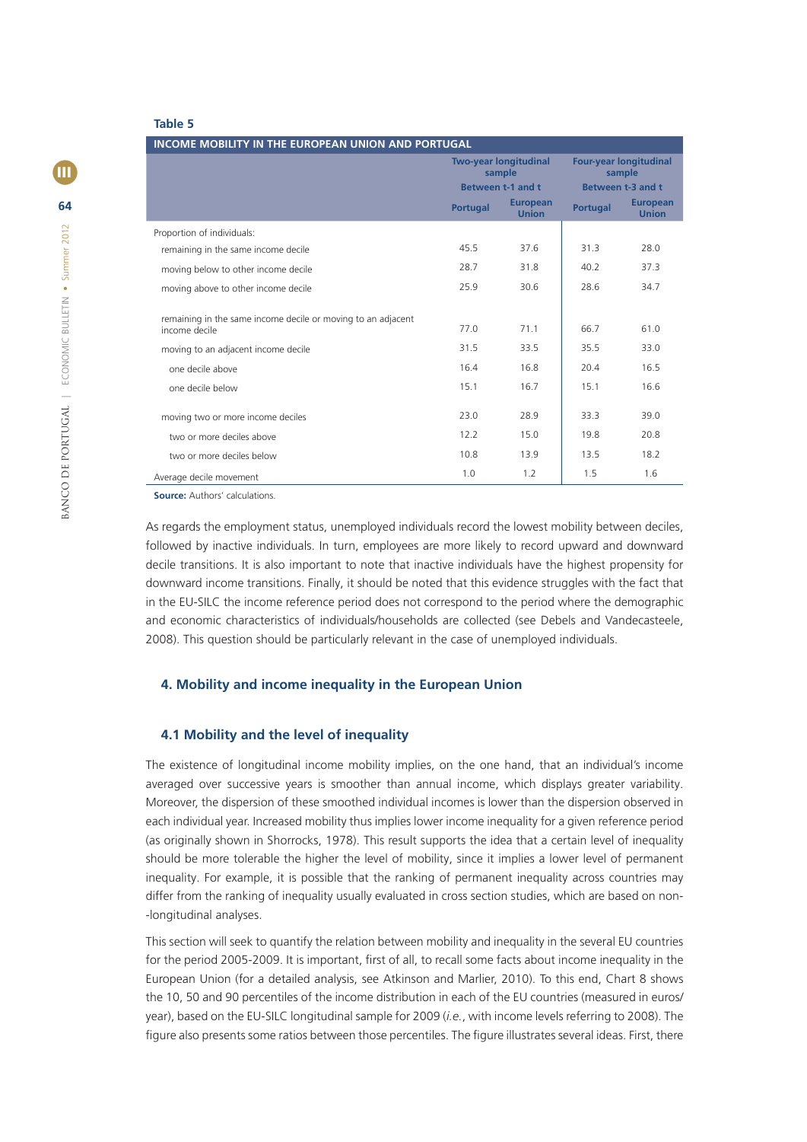#### **Table 5**

| <b>INCOME MOBILITY IN THE EUROPEAN UNION AND PORTUGAL</b>                     |                 |                                 |                                                              |                                 |  |  |  |  |  |  |
|-------------------------------------------------------------------------------|-----------------|---------------------------------|--------------------------------------------------------------|---------------------------------|--|--|--|--|--|--|
|                                                                               | sample          | <b>Two-year longitudinal</b>    | <b>Four-year longitudinal</b><br>sample<br>Between t-3 and t |                                 |  |  |  |  |  |  |
|                                                                               |                 | Between t-1 and t               |                                                              |                                 |  |  |  |  |  |  |
|                                                                               | <b>Portugal</b> | <b>European</b><br><b>Union</b> | <b>Portugal</b>                                              | <b>European</b><br><b>Union</b> |  |  |  |  |  |  |
| Proportion of individuals:                                                    |                 |                                 |                                                              |                                 |  |  |  |  |  |  |
| remaining in the same income decile                                           | 45.5            | 37.6                            | 31.3                                                         | 28.0                            |  |  |  |  |  |  |
| moving below to other income decile                                           | 28.7            | 31.8                            | 40.2                                                         | 37.3                            |  |  |  |  |  |  |
| moving above to other income decile                                           | 25.9            | 30.6                            | 28.6                                                         | 34.7                            |  |  |  |  |  |  |
| remaining in the same income decile or moving to an adjacent<br>income decile | 77.0            | 71.1                            | 66.7                                                         | 61.0                            |  |  |  |  |  |  |
| moving to an adjacent income decile                                           | 31.5            | 33.5                            | 35.5                                                         | 33.0                            |  |  |  |  |  |  |
| one decile above                                                              | 16.4            | 16.8                            | 20.4                                                         | 16.5                            |  |  |  |  |  |  |
| one decile below                                                              | 15.1            | 16.7                            | 15.1                                                         | 16.6                            |  |  |  |  |  |  |
| moving two or more income deciles                                             | 23.0            | 28.9                            | 33.3                                                         | 39.0                            |  |  |  |  |  |  |
| two or more deciles above                                                     | 12.2            | 15.0                            | 19.8                                                         | 20.8                            |  |  |  |  |  |  |
| two or more deciles below                                                     | 10.8            | 13.9                            | 13.5                                                         | 18.2                            |  |  |  |  |  |  |
| Average decile movement                                                       | 1.0             | 1.2                             | 1.5                                                          | 1.6                             |  |  |  |  |  |  |

**Source:** Authors' calculations.

As regards the employment status, unemployed individuals record the lowest mobility between deciles, followed by inactive individuals. In turn, employees are more likely to record upward and downward decile transitions. It is also important to note that inactive individuals have the highest propensity for downward income transitions. Finally, it should be noted that this evidence struggles with the fact that in the EU-SILC the income reference period does not correspond to the period where the demographic and economic characteristics of individuals/households are collected (see Debels and Vandecasteele, 2008). This question should be particularly relevant in the case of unemployed individuals.

#### **4. Mobility and income inequality in the European Union**

#### **4.1 Mobility and the level of inequality**

The existence of longitudinal income mobility implies, on the one hand, that an individual's income averaged over successive years is smoother than annual income, which displays greater variability. Moreover, the dispersion of these smoothed individual incomes is lower than the dispersion observed in each individual year. Increased mobility thus implies lower income inequality for a given reference period (as originally shown in Shorrocks, 1978). This result supports the idea that a certain level of inequality should be more tolerable the higher the level of mobility, since it implies a lower level of permanent inequality. For example, it is possible that the ranking of permanent inequality across countries may differ from the ranking of inequality usually evaluated in cross section studies, which are based on non- -longitudinal analyses.

This section will seek to quantify the relation between mobility and inequality in the several EU countries for the period 2005-2009. It is important, first of all, to recall some facts about income inequality in the European Union (for a detailed analysis, see Atkinson and Marlier, 2010). To this end, Chart 8 shows the 10, 50 and 90 percentiles of the income distribution in each of the EU countries (measured in euros/ year), based on the EU-SILC longitudinal sample for 2009 (*i.e.*, with income levels referring to 2008). The figure also presents some ratios between those percentiles. The figure illustrates several ideas. First, there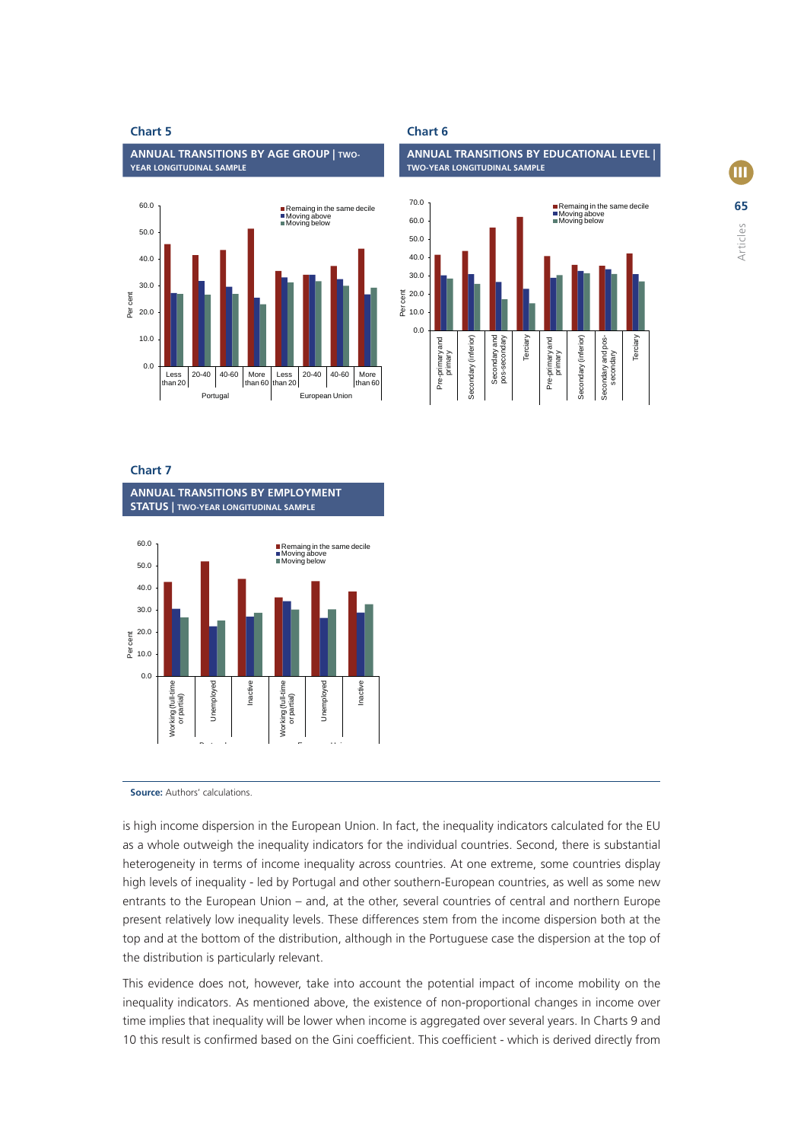**ANNUAL TRANSITIONS BY AGE GROUP | TWO-YEAR LONGITUDINAL SAMPLE**



**Chart 7** 

**ANNUAL TRANSITIONS BY EMPLOYMENT STATUS | TWO-YEAR LONGITUDINAL SAMPLE**



**Source:** Authors' calculations.

is high income dispersion in the European Union. In fact, the inequality indicators calculated for the EU as a whole outweigh the inequality indicators for the individual countries. Second, there is substantial heterogeneity in terms of income inequality across countries. At one extreme, some countries display high levels of inequality - led by Portugal and other southern-European countries, as well as some new entrants to the European Union – and, at the other, several countries of central and northern Europe present relatively low inequality levels. These differences stem from the income dispersion both at the top and at the bottom of the distribution, although in the Portuguese case the dispersion at the top of the distribution is particularly relevant.

This evidence does not, however, take into account the potential impact of income mobility on the inequality indicators. As mentioned above, the existence of non-proportional changes in income over time implies that inequality will be lower when income is aggregated over several years. In Charts 9 and 10 this result is confirmed based on the Gini coefficient. This coefficient - which is derived directly from



# **Chart 5** Chart 6

**ANNUAL TRANSITIONS BY EDUCATIONAL LEVEL | TWO-YEAR LONGITUDINAL SAMPLE**

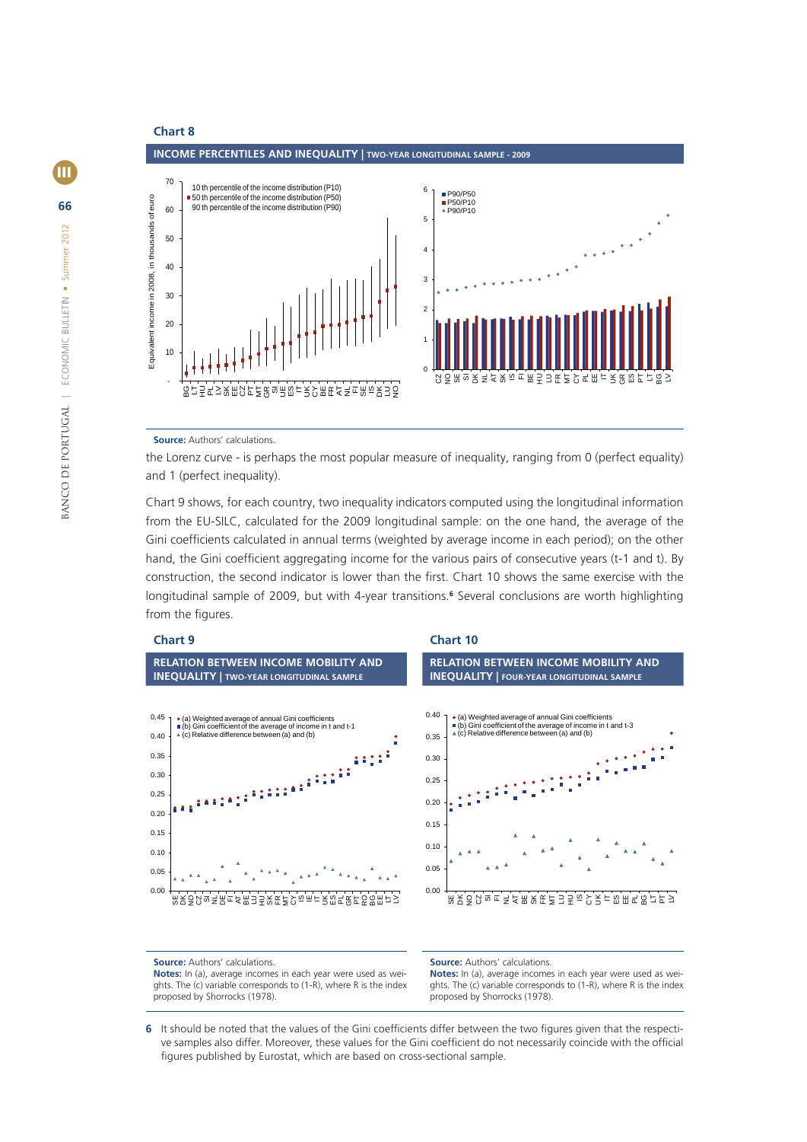

**Source:** Authors' calculations.

the Lorenz curve - is perhaps the most popular measure of inequality, ranging from 0 (perfect equality) and 1 (perfect inequality).

Chart 9 shows, for each country, two inequality indicators computed using the longitudinal information from the EU-SILC, calculated for the 2009 longitudinal sample: on the one hand, the average of the Gini coefficients calculated in annual terms (weighted by average income in each period); on the other hand, the Gini coefficient aggregating income for the various pairs of consecutive years (t-1 and t). By construction, the second indicator is lower than the first. Chart 10 shows the same exercise with the longitudinal sample of 2009, but with 4-year transitions.<sup>6</sup> Several conclusions are worth highlighting from the figures.



**Source:** Authors' calculations. **Notes:** In (a), average incomes in each year were used as weights. The (c) variable corresponds to (1-R), where R is the index proposed by Shorrocks (1978).

**Source:** Authors' calculations.

**Notes:** In (a), average incomes in each year were used as weights. The (c) variable corresponds to (1-R), where R is the index proposed by Shorrocks (1978).

6 It should be noted that the values of the Gini coefficients differ between the two figures given that the respective samples also differ. Moreover, these values for the Gini coefficient do not necessarily coincide with the official figures published by Eurostat, which are based on cross-sectional sample.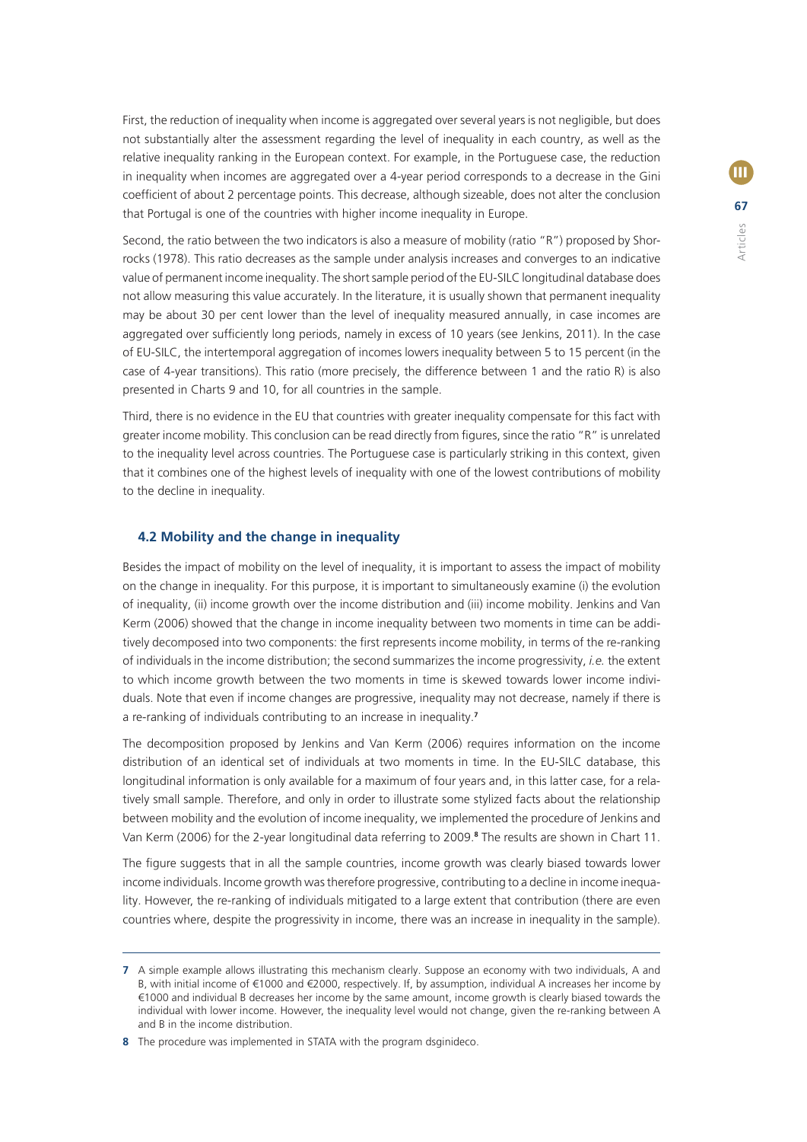First, the reduction of inequality when income is aggregated over several years is not negligible, but does not substantially alter the assessment regarding the level of inequality in each country, as well as the relative inequality ranking in the European context. For example, in the Portuguese case, the reduction in inequality when incomes are aggregated over a 4-year period corresponds to a decrease in the Gini coefficient of about 2 percentage points. This decrease, although sizeable, does not alter the conclusion that Portugal is one of the countries with higher income inequality in Europe.

Second, the ratio between the two indicators is also a measure of mobility (ratio "R") proposed by Shorrocks (1978). This ratio decreases as the sample under analysis increases and converges to an indicative value of permanent income inequality. The short sample period of the EU-SILC longitudinal database does not allow measuring this value accurately. In the literature, it is usually shown that permanent inequality may be about 30 per cent lower than the level of inequality measured annually, in case incomes are aggregated over sufficiently long periods, namely in excess of 10 years (see Jenkins, 2011). In the case of EU-SILC, the intertemporal aggregation of incomes lowers inequality between 5 to 15 percent (in the case of 4-year transitions). This ratio (more precisely, the difference between 1 and the ratio R) is also presented in Charts 9 and 10, for all countries in the sample.

Third, there is no evidence in the EU that countries with greater inequality compensate for this fact with greater income mobility. This conclusion can be read directly from figures, since the ratio "R" is unrelated to the inequality level across countries. The Portuguese case is particularly striking in this context, given that it combines one of the highest levels of inequality with one of the lowest contributions of mobility to the decline in inequality.

#### **4.2 Mobility and the change in inequality**

Besides the impact of mobility on the level of inequality, it is important to assess the impact of mobility on the change in inequality. For this purpose, it is important to simultaneously examine (i) the evolution of inequality, (ii) income growth over the income distribution and (iii) income mobility. Jenkins and Van Kerm (2006) showed that the change in income inequality between two moments in time can be additively decomposed into two components: the first represents income mobility, in terms of the re-ranking of individuals in the income distribution; the second summarizes the income progressivity, *i.e.* the extent to which income growth between the two moments in time is skewed towards lower income individuals. Note that even if income changes are progressive, inequality may not decrease, namely if there is a re-ranking of individuals contributing to an increase in inequality.**<sup>7</sup>**

The decomposition proposed by Jenkins and Van Kerm (2006) requires information on the income distribution of an identical set of individuals at two moments in time. In the EU-SILC database, this longitudinal information is only available for a maximum of four years and, in this latter case, for a relatively small sample. Therefore, and only in order to illustrate some stylized facts about the relationship between mobility and the evolution of income inequality, we implemented the procedure of Jenkins and Van Kerm (2006) for the 2-year longitudinal data referring to 2009.**<sup>8</sup>** The results are shown in Chart 11.

The figure suggests that in all the sample countries, income growth was clearly biased towards lower income individuals. Income growth was therefore progressive, contributing to a decline in income inequality. However, the re-ranking of individuals mitigated to a large extent that contribution (there are even countries where, despite the progressivity in income, there was an increase in inequality in the sample).

**<sup>7</sup>** A simple example allows illustrating this mechanism clearly. Suppose an economy with two individuals, A and B, with initial income of €1000 and €2000, respectively. If, by assumption, individual A increases her income by €1000 and individual B decreases her income by the same amount, income growth is clearly biased towards the individual with lower income. However, the inequality level would not change, given the re-ranking between A and B in the income distribution.

**<sup>8</sup>** The procedure was implemented in STATA with the program dsginideco.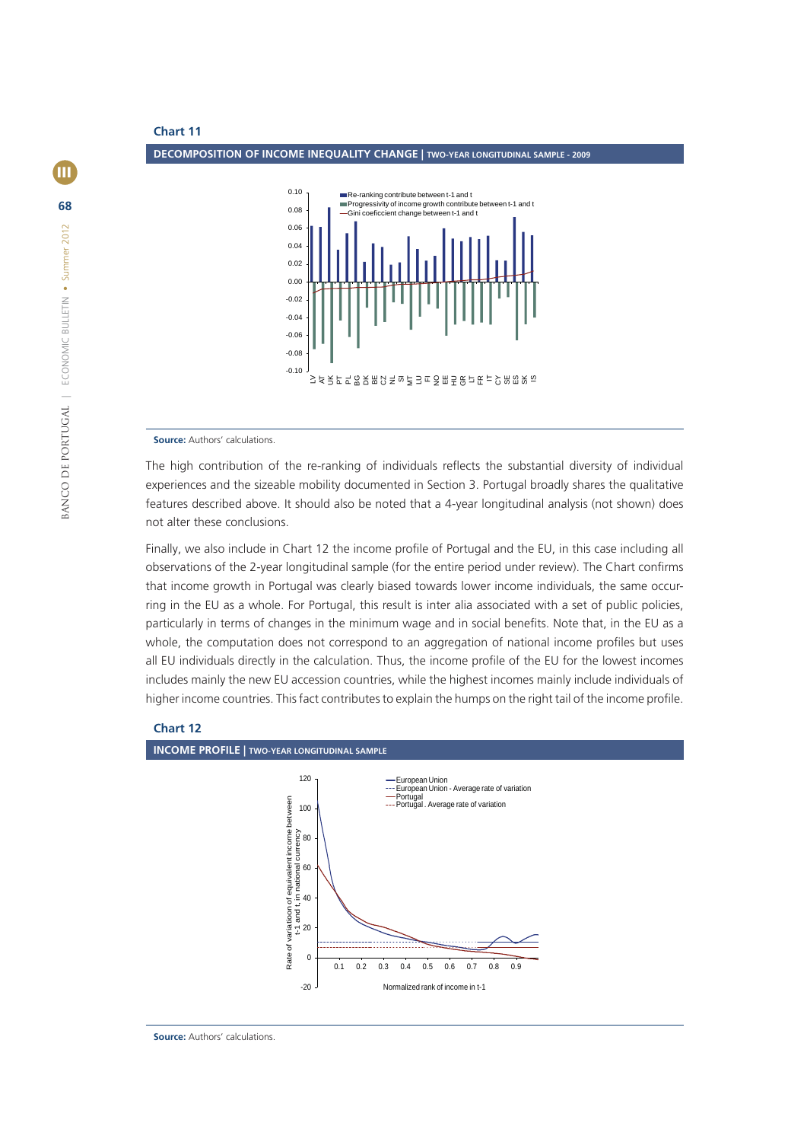

**Source:** Authors' calculations.

The high contribution of the re-ranking of individuals reflects the substantial diversity of individual experiences and the sizeable mobility documented in Section 3. Portugal broadly shares the qualitative features described above. It should also be noted that a 4-year longitudinal analysis (not shown) does not alter these conclusions.

Finally, we also include in Chart 12 the income profile of Portugal and the EU, in this case including all observations of the 2-year longitudinal sample (for the entire period under review). The Chart confirms that income growth in Portugal was clearly biased towards lower income individuals, the same occurring in the EU as a whole. For Portugal, this result is inter alia associated with a set of public policies, particularly in terms of changes in the minimum wage and in social benefits. Note that, in the EU as a whole, the computation does not correspond to an aggregation of national income profiles but uses all EU individuals directly in the calculation. Thus, the income profile of the EU for the lowest incomes includes mainly the new EU accession countries, while the highest incomes mainly include individuals of higher income countries. This fact contributes to explain the humps on the right tail of the income profile.





**Source:** Authors' calculations.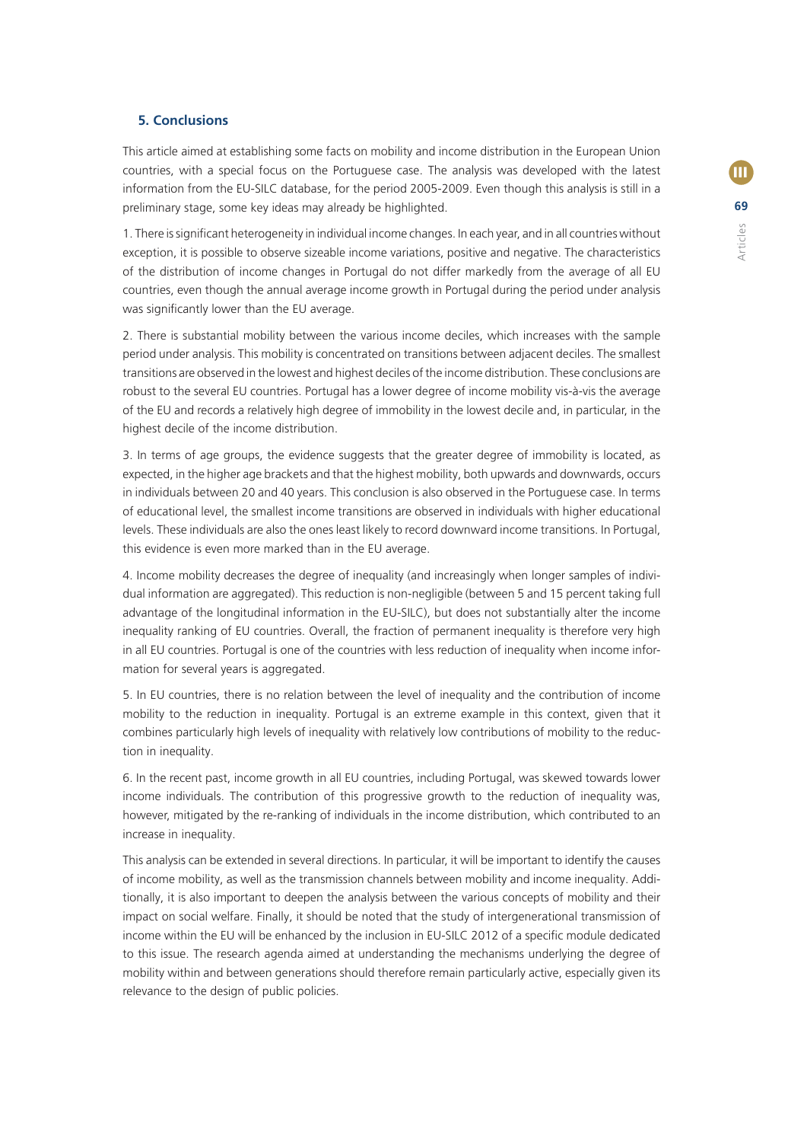## **5. Conclusions**

This article aimed at establishing some facts on mobility and income distribution in the European Union countries, with a special focus on the Portuguese case. The analysis was developed with the latest information from the EU-SILC database, for the period 2005-2009. Even though this analysis is still in a preliminary stage, some key ideas may already be highlighted.

1. There is signifi cant heterogeneity in individual income changes. In each year, and in all countries without exception, it is possible to observe sizeable income variations, positive and negative. The characteristics of the distribution of income changes in Portugal do not differ markedly from the average of all EU countries, even though the annual average income growth in Portugal during the period under analysis was significantly lower than the EU average.

2. There is substantial mobility between the various income deciles, which increases with the sample period under analysis. This mobility is concentrated on transitions between adjacent deciles. The smallest transitions are observed in the lowest and highest deciles of the income distribution. These conclusions are robust to the several EU countries. Portugal has a lower degree of income mobility vis-à-vis the average of the EU and records a relatively high degree of immobility in the lowest decile and, in particular, in the highest decile of the income distribution.

3. In terms of age groups, the evidence suggests that the greater degree of immobility is located, as expected, in the higher age brackets and that the highest mobility, both upwards and downwards, occurs in individuals between 20 and 40 years. This conclusion is also observed in the Portuguese case. In terms of educational level, the smallest income transitions are observed in individuals with higher educational levels. These individuals are also the ones least likely to record downward income transitions. In Portugal, this evidence is even more marked than in the EU average.

4. Income mobility decreases the degree of inequality (and increasingly when longer samples of individual information are aggregated). This reduction is non-negligible (between 5 and 15 percent taking full advantage of the longitudinal information in the EU-SILC), but does not substantially alter the income inequality ranking of EU countries. Overall, the fraction of permanent inequality is therefore very high in all EU countries. Portugal is one of the countries with less reduction of inequality when income information for several years is aggregated.

5. In EU countries, there is no relation between the level of inequality and the contribution of income mobility to the reduction in inequality. Portugal is an extreme example in this context, given that it combines particularly high levels of inequality with relatively low contributions of mobility to the reduction in inequality.

6. In the recent past, income growth in all EU countries, including Portugal, was skewed towards lower income individuals. The contribution of this progressive growth to the reduction of inequality was, however, mitigated by the re-ranking of individuals in the income distribution, which contributed to an increase in inequality.

This analysis can be extended in several directions. In particular, it will be important to identify the causes of income mobility, as well as the transmission channels between mobility and income inequality. Additionally, it is also important to deepen the analysis between the various concepts of mobility and their impact on social welfare. Finally, it should be noted that the study of intergenerational transmission of income within the EU will be enhanced by the inclusion in EU-SILC 2012 of a specific module dedicated to this issue. The research agenda aimed at understanding the mechanisms underlying the degree of mobility within and between generations should therefore remain particularly active, especially given its relevance to the design of public policies.